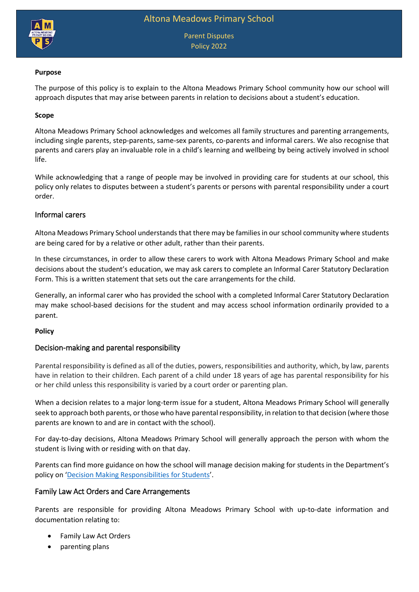

Parent Disputes Policy 2022

#### **Purpose**

The purpose of this policy is to explain to the Altona Meadows Primary School community how our school will approach disputes that may arise between parents in relation to decisions about a student's education.

### **Scope**

Altona Meadows Primary School acknowledges and welcomes all family structures and parenting arrangements, including single parents, step-parents, same-sex parents, co-parents and informal carers. We also recognise that parents and carers play an invaluable role in a child's learning and wellbeing by being actively involved in school life.

While acknowledging that a range of people may be involved in providing care for students at our school, this policy only relates to disputes between a student's parents or persons with parental responsibility under a court order.

## Informal carers

Altona Meadows Primary School understands that there may be families in our school community where students are being cared for by a relative or other adult, rather than their parents.

In these circumstances, in order to allow these carers to work with Altona Meadows Primary School and make decisions about the student's education, we may ask carers to complete an Informal Carer Statutory Declaration Form. This is a written statement that sets out the care arrangements for the child.

Generally, an informal carer who has provided the school with a completed Informal Carer Statutory Declaration may make school-based decisions for the student and may access school information ordinarily provided to a parent.

#### **Policy**

#### Decision-making and parental responsibility

Parental responsibility is defined as all of the duties, powers, responsibilities and authority, which, by law, parents have in relation to their children. Each parent of a child under 18 years of age has parental responsibility for his or her child unless this responsibility is varied by a court order or parenting plan.

When a decision relates to a major long-term issue for a student, Altona Meadows Primary School will generally seek to approach both parents, or those who have parental responsibility, in relation to that decision (where those parents are known to and are in contact with the school).

For day-to-day decisions, Altona Meadows Primary School will generally approach the person with whom the student is living with or residing with on that day.

Parents can find more guidance on how the school will manage decision making for students in the Department's policy on '[Decision Making Responsibilities for Students](https://www2.education.vic.gov.au/pal/decision-making-responsibilities-students/policy)'.

## Family Law Act Orders and Care Arrangements

Parents are responsible for providing Altona Meadows Primary School with up-to-date information and documentation relating to:

- Family Law Act Orders
- parenting plans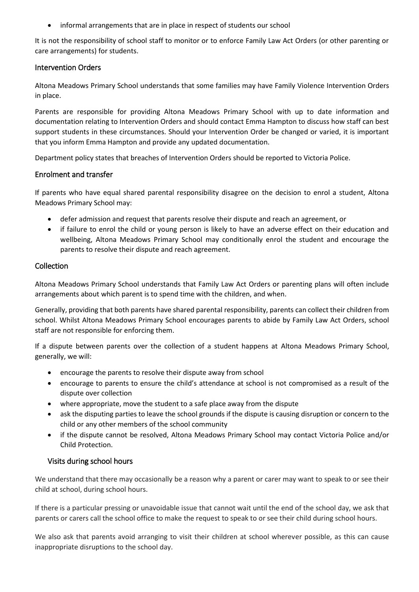informal arrangements that are in place in respect of students our school

It is not the responsibility of school staff to monitor or to enforce Family Law Act Orders (or other parenting or care arrangements) for students.

### Intervention Orders

Altona Meadows Primary School understands that some families may have Family Violence Intervention Orders in place.

Parents are responsible for providing Altona Meadows Primary School with up to date information and documentation relating to Intervention Orders and should contact Emma Hampton to discuss how staff can best support students in these circumstances. Should your Intervention Order be changed or varied, it is important that you inform Emma Hampton and provide any updated documentation.

Department policy states that breaches of Intervention Orders should be reported to Victoria Police.

### Enrolment and transfer

If parents who have equal shared parental responsibility disagree on the decision to enrol a student, Altona Meadows Primary School may:

- defer admission and request that parents resolve their dispute and reach an agreement, or
- if failure to enrol the child or young person is likely to have an adverse effect on their education and wellbeing, Altona Meadows Primary School may conditionally enrol the student and encourage the parents to resolve their dispute and reach agreement.

## Collection

Altona Meadows Primary School understands that Family Law Act Orders or parenting plans will often include arrangements about which parent is to spend time with the children, and when.

Generally, providing that both parents have shared parental responsibility, parents can collect their children from school. Whilst Altona Meadows Primary School encourages parents to abide by Family Law Act Orders, school staff are not responsible for enforcing them.

If a dispute between parents over the collection of a student happens at Altona Meadows Primary School, generally, we will:

- encourage the parents to resolve their dispute away from school
- encourage to parents to ensure the child's attendance at school is not compromised as a result of the dispute over collection
- where appropriate, move the student to a safe place away from the dispute
- ask the disputing parties to leave the school grounds if the dispute is causing disruption or concern to the child or any other members of the school community
- if the dispute cannot be resolved, Altona Meadows Primary School may contact Victoria Police and/or Child Protection.

## Visits during school hours

We understand that there may occasionally be a reason why a parent or carer may want to speak to or see their child at school, during school hours.

If there is a particular pressing or unavoidable issue that cannot wait until the end of the school day, we ask that parents or carers call the school office to make the request to speak to or see their child during school hours.

We also ask that parents avoid arranging to visit their children at school wherever possible, as this can cause inappropriate disruptions to the school day.